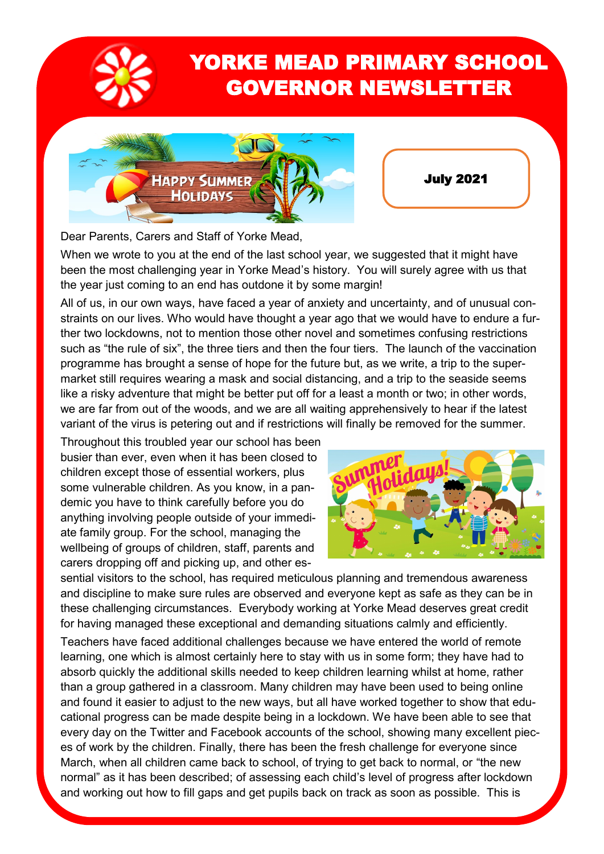

## YORKE MEAD PRIMARY SCHOOL GOVERNOR NEWSLETTER



July 2021

Dear Parents, Carers and Staff of Yorke Mead,

When we wrote to you at the end of the last school year, we suggested that it might have been the most challenging year in Yorke Mead's history. You will surely agree with us that the year just coming to an end has outdone it by some margin!

All of us, in our own ways, have faced a year of anxiety and uncertainty, and of unusual constraints on our lives. Who would have thought a year ago that we would have to endure a further two lockdowns, not to mention those other novel and sometimes confusing restrictions such as "the rule of six", the three tiers and then the four tiers. The launch of the vaccination programme has brought a sense of hope for the future but, as we write, a trip to the supermarket still requires wearing a mask and social distancing, and a trip to the seaside seems like a risky adventure that might be better put off for a least a month or two; in other words, we are far from out of the woods, and we are all waiting apprehensively to hear if the latest variant of the virus is petering out and if restrictions will finally be removed for the summer.

Throughout this troubled year our school has been busier than ever, even when it has been closed to children except those of essential workers, plus some vulnerable children. As you know, in a pandemic you have to think carefully before you do anything involving people outside of your immediate family group. For the school, managing the wellbeing of groups of children, staff, parents and carers dropping off and picking up, and other es-



sential visitors to the school, has required meticulous planning and tremendous awareness and discipline to make sure rules are observed and everyone kept as safe as they can be in these challenging circumstances. Everybody working at Yorke Mead deserves great credit for having managed these exceptional and demanding situations calmly and efficiently.

Teachers have faced additional challenges because we have entered the world of remote learning, one which is almost certainly here to stay with us in some form; they have had to absorb quickly the additional skills needed to keep children learning whilst at home, rather than a group gathered in a classroom. Many children may have been used to being online and found it easier to adjust to the new ways, but all have worked together to show that educational progress can be made despite being in a lockdown. We have been able to see that every day on the Twitter and Facebook accounts of the school, showing many excellent pieces of work by the children. Finally, there has been the fresh challenge for everyone since March, when all children came back to school, of trying to get back to normal, or "the new normal" as it has been described; of assessing each child's level of progress after lockdown and working out how to fill gaps and get pupils back on track as soon as possible. This is